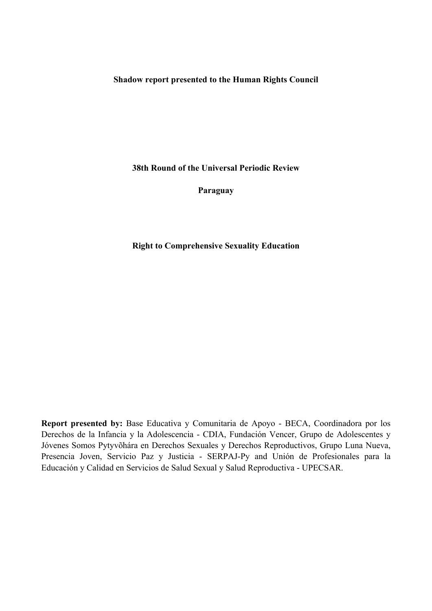**Shadow report presented to the Human Rights Council**

**38th Round of the Universal Periodic Review**

**Paraguay**

**Right to Comprehensive Sexuality Education**

**Report presented by:** Base Educativa y Comunitaria de Apoyo - BECA, Coordinadora por los Derechos de la Infancia y la Adolescencia - CDIA, Fundación Vencer, Grupo de Adolescentes y Jóvenes Somos Pytyvõhára en Derechos Sexuales y Derechos Reproductivos, Grupo Luna Nueva, Presencia Joven, Servicio Paz y Justicia - SERPAJ-Py and Unión de Profesionales para la Educación y Calidad en Servicios de Salud Sexual y Salud Reproductiva - UPECSAR.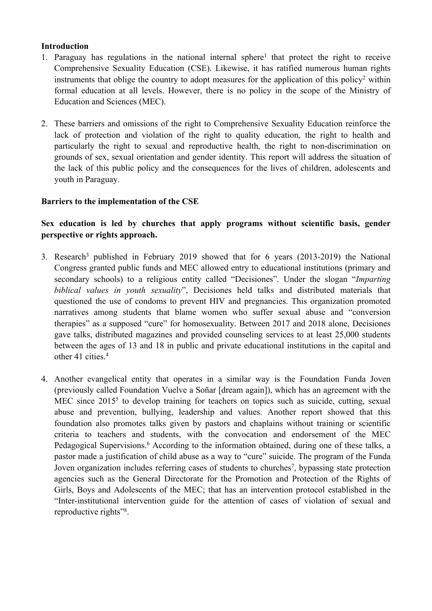## **Introduction**

- 1. Paraguay has regulations in the national internal sphere<sup>1</sup> that protect the right to receive Comprehensive Sexuality Education (CSE). Likewise, it has ratified numerous human rights instruments that oblige the country to adopt measures for the application of this policy<sup>2</sup> within formal education at all levels. However, there is no policy in the scope of the Ministry of Education and Sciences (MEC).
- 2. These barriers and omissions of the right to Comprehensive Sexuality Education reinforce the lack of protection and violation of the right to quality education, the right to health and particularly the right to sexual and reproductive health, the right to non-discrimination on grounds of sex, sexual orientation and gender identity. This repor<sup>t</sup> will address the situation of the lack of this public policy and the consequences for the lives of children, adolescents and youth in Paraguay.

## **Barriers to the implementation of the CSE**

# **Sex education is led by churches that apply programs without scientific basis, gender perspective or rights approach.**

- 3. Research<sup>3</sup> published in February 2019 showed that for 6 years (2013-2019) the National Congress granted public funds and MEC allowed entry to educational institutions (primary and secondary schools) to <sup>a</sup> religious entity called "Decisiones". Under the slogan "*Imparting biblical values in youth sexuality*", Decisiones held talks and distributed materials that questioned the use of condoms to preven<sup>t</sup> HIV and pregnancies. This organization promoted narratives among students that blame women who suffer sexual abuse and "conversion therapies" as <sup>a</sup> supposed "cure" for homosexuality. Between 2017 and 2018 alone, Decisiones gave talks, distributed magazines and provided counseling services to at least 25,000 students between the ages of 13 and 18 in public and private educational institutions in the capital and other 41 cities. 4
- 4. Another evangelical entity that operates in <sup>a</sup> similar way is the Foundation Funda Joven (previously called Foundation Vuelve <sup>a</sup> Soñar [dream again]), which has an agreemen<sup>t</sup> with the MEC since 2015<sup>5</sup> to develop training for teachers on topics such as suicide, cutting, sexual abuse and prevention, bullying, leadership and values. Another repor<sup>t</sup> showed that this foundation also promotes talks given by pastors and chaplains without training or scientific criteria to teachers and students, with the convocation and endorsement of the MEC Pedagogical Supervisions. <sup>6</sup> According to the information obtained, during one of these talks, <sup>a</sup> pastor made <sup>a</sup> justification of child abuse as <sup>a</sup> way to "cure" suicide. The program of the Funda Joven organization includes referring cases of students to churches<sup>7</sup>, bypassing state protection agencies such as the General Directorate for the Promotion and Protection of the Rights of Girls, Boys and Adolescents of the MEC; that has an intervention protocol established in the "Inter-institutional intervention guide for the attention of cases of violation of sexual and reproductive rights"<sup>8</sup>.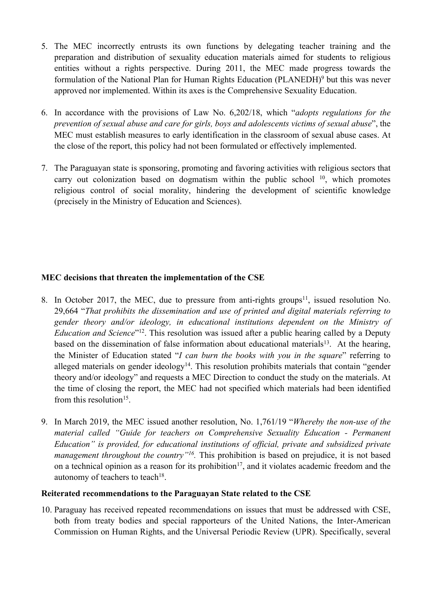- 5. The MEC incorrectly entrusts its own functions by delegating teacher training and the preparation and distribution of sexuality education materials aimed for students to religious entities without <sup>a</sup> rights perspective. During 2011, the MEC made progress towards the formulation of the National Plan for Human Rights Education (PLANEDH)<sup>9</sup> but this was never approved nor implemented. Within its axes is the Comprehensive Sexuality Education.
- 6. In accordance with the provisions of Law No. 6,202/18, which "*adopts regulations for the prevention of sexual abuse and care for girls, boys and adolescents victims of sexual abuse*", the MEC must establish measures to early identification in the classroom of sexual abuse cases. At the close of the report, this policy had not been formulated or effectively implemented.
- 7. The Paraguayan state is sponsoring, promoting and favoring activities with religious sectors that carry out colonization based on dogmatism within the public school 10 , which promotes religious control of social morality, hindering the development of scientific knowledge (precisely in the Ministry of Education and Sciences).

## **MEC decisions that threaten the implementation of the CSE**

- 8. In October 2017, the MEC, due to pressure from anti-rights groups<sup>11</sup>, issued resolution No. 29,664 "*That prohibits the dissemination and use of printed and digital materials referring to gender theory and/or ideology, in educational institutions dependent on the Ministry of Education and Science*"<sup>12</sup> . This resolution was issued after <sup>a</sup> public hearing called by <sup>a</sup> Deputy based on the dissemination of false information about educational materials<sup>13</sup>. At the hearing, the Minister of Education stated "*I can burn the books with you in the square*" referring to alleged materials on gender ideology<sup>14</sup>. This resolution prohibits materials that contain "gender theory and/or ideology" and requests <sup>a</sup> MEC Direction to conduct the study on the materials. At the time of closing the report, the MEC had not specified which materials had been identified from this resolution<sup>15</sup>.
- 9. In March 2019, the MEC issued another resolution, No. 1,761/19 "*Whereby the non-use of the material called "Guide for teachers on Comprehensive Sexuality Education - Permanent Education" is provided, for educational institutions of official, private and subsidized private managemen<sup>t</sup> throughout the country"<sup>16</sup> .* This prohibition is based on prejudice, it is not based on a technical opinion as a reason for its prohibition<sup>17</sup>, and it violates academic freedom and the autonomy of teachers to teach $^{18}$ .

## **Reiterated recommendations to the Paraguayan State related to the CSE**

10. Paraguay has received repeated recommendations on issues that must be addressed with CSE, both from treaty bodies and special rapporteurs of the United Nations, the Inter-American Commission on Human Rights, and the Universal Periodic Review (UPR). Specifically, several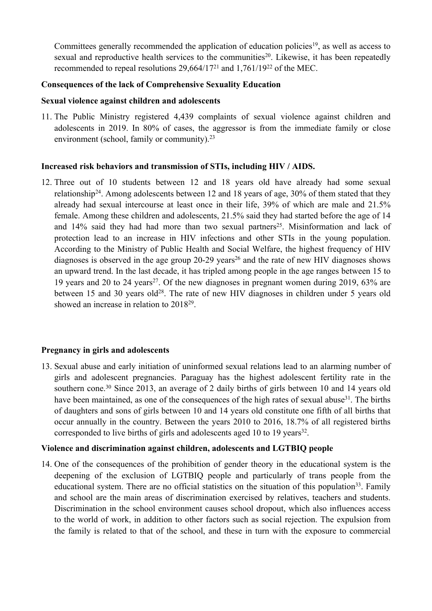Committees generally recommended the application of education policies<sup>19</sup>, as well as access to sexual and reproductive health services to the communities 20 . Likewise, it has been repeatedly recommended to repeal resolutions 29,664/17<sup>21</sup> and 1,761/19<sup>22</sup> of the MEC.

#### **Consequences of the lack of Comprehensive Sexuality Education**

#### **Sexual violence against children and adolescents**

11. The Public Ministry registered 4,439 complaints of sexual violence against children and adolescents in 2019. In 80% of cases, the aggressor is from the immediate family or close environment (school, family or community).<sup>23</sup>

#### **Increased risk behaviors and transmission of STIs, including HIV / AIDS.**

12. Three out of 10 students between 12 and 18 years old have already had some sexual relationship<sup>24</sup>. Among adolescents between 12 and 18 years of age, 30% of them stated that they already had sexual intercourse at least once in their life, 39% of which are male and 21.5% female. Among these children and adolescents, 21.5% said they had started before the age of 14 and 14% said they had had more than two sexual partners 25 . Misinformation and lack of protection lead to an increase in HIV infections and other STIs in the young population. According to the Ministry of Public Health and Social Welfare, the highest frequency of HIV diagnoses is observed in the age group 20-29 years<sup>26</sup> and the rate of new HIV diagnoses shows an upward trend. In the last decade, it has tripled among people in the age ranges between 15 to 19 years and 20 to 24 years 27 . Of the new diagnoses in pregnan<sup>t</sup> women during 2019, 63% are between 15 and 30 years old<sup>28</sup>. The rate of new HIV diagnoses in children under 5 years old showed an increase in relation to 2018<sup>29</sup>.

## **Pregnancy in girls and adolescents**

13. Sexual abuse and early initiation of uninformed sexual relations lead to an alarming number of girls and adolescent pregnancies. Paraguay has the highest adolescent fertility rate in the southern cone.<sup>30</sup> Since 2013, an average of 2 daily births of girls between 10 and 14 years old have been maintained, as one of the consequences of the high rates of sexual abuse<sup>31</sup>. The births of daughters and sons of girls between 10 and 14 years old constitute one fifth of all births that occur annually in the country. Between the years 2010 to 2016, 18.7% of all registered births corresponded to live births of girls and adolescents aged 10 to 19 years 32 .

## **Violence and discrimination against children, adolescents and LGTBIQ people**

14. One of the consequences of the prohibition of gender theory in the educational system is the deepening of the exclusion of LGTBIQ people and particularly of trans people from the educational system. There are no official statistics on the situation of this population<sup>33</sup>. Family and school are the main areas of discrimination exercised by relatives, teachers and students. Discrimination in the school environment causes school dropout, which also influences access to the world of work, in addition to other factors such as social rejection. The expulsion from the family is related to that of the school, and these in turn with the exposure to commercial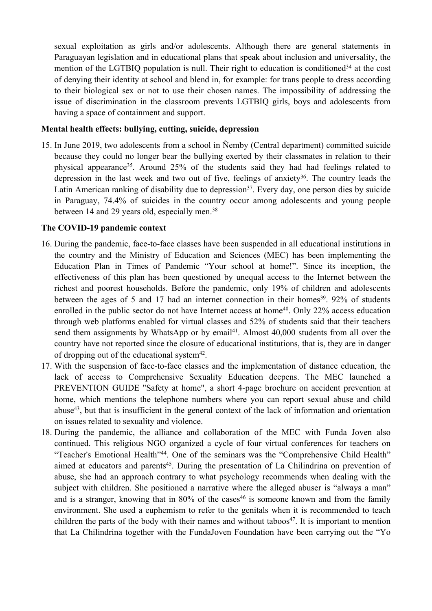sexual exploitation as girls and/or adolescents. Although there are general statements in Paraguayan legislation and in educational plans that speak about inclusion and universality, the mention of the LGTBIQ population is null. Their right to education is conditioned<sup>34</sup> at the cost of denying their identity at school and blend in, for example: for trans people to dress according to their biological sex or not to use their chosen names. The impossibility of addressing the issue of discrimination in the classroom prevents LGTBIQ girls, boys and adolescents from having <sup>a</sup> space of containment and support.

#### **Mental health effects: bullying, cutting, suicide, depression**

15. In June 2019, two adolescents from <sup>a</sup> school in Ñemby (Central department) committed suicide because they could no longer bear the bullying exerted by their classmates in relation to their physical appearance<sup>35</sup>. Around 25% of the students said they had had feelings related to depression in the last week and two out of five, feelings of anxiety<sup>36</sup>. The country leads the Latin American ranking of disability due to depression<sup>37</sup>. Every day, one person dies by suicide in Paraguay, 74.4% of suicides in the country occur among adolescents and young people between 14 and 29 years old, especially men.<sup>38</sup>

## **The COVID-19 pandemic context**

- 16. During the pandemic, face-to-face classes have been suspended in all educational institutions in the country and the Ministry of Education and Sciences (MEC) has been implementing the Education Plan in Times of Pandemic "Your school at home!". Since its inception, the effectiveness of this plan has been questioned by unequal access to the Internet between the richest and poores<sup>t</sup> households. Before the pandemic, only 19% of children and adolescents between the ages of 5 and 17 had an internet connection in their homes<sup>39</sup>. 92% of students enrolled in the public sector do not have Internet access at home<sup>40</sup>. Only 22% access education through web platforms enabled for virtual classes and 52% of students said that their teachers send them assignments by WhatsApp or by email 41 . Almost 40,000 students from all over the country have not reported since the closure of educational institutions, that is, they are in danger of dropping out of the educational system $42$ .
- 17. With the suspension of face-to-face classes and the implementation of distance education, the lack of access to Comprehensive Sexuality Education deepens. The MEC launched <sup>a</sup> PREVENTION GUIDE "Safety at home", <sup>a</sup> short 4-page brochure on accident prevention at home, which mentions the telephone numbers where you can repor<sup>t</sup> sexual abuse and child abuse<sup>43</sup> , but that is insufficient in the general context of the lack of information and orientation on issues related to sexuality and violence.
- 18. During the pandemic, the alliance and collaboration of the MEC with Funda Joven also continued. This religious NGO organized <sup>a</sup> cycle of four virtual conferences for teachers on "Teacher's Emotional Health<sup>, 44</sup>. One of the seminars was the "Comprehensive Child Health" aimed at educators and parents<sup>45</sup>. During the presentation of La Chilindrina on prevention of abuse, she had an approach contrary to what psychology recommends when dealing with the subject with children. She positioned <sup>a</sup> narrative where the alleged abuser is "always <sup>a</sup> man" and is <sup>a</sup> stranger, knowing that in 80% of the cases 46 is someone known and from the family environment. She used <sup>a</sup> euphemism to refer to the genitals when it is recommended to teach children the parts of the body with their names and without taboos 47 . It is important to mention that La Chilindrina together with the FundaJoven Foundation have been carrying out the "Yo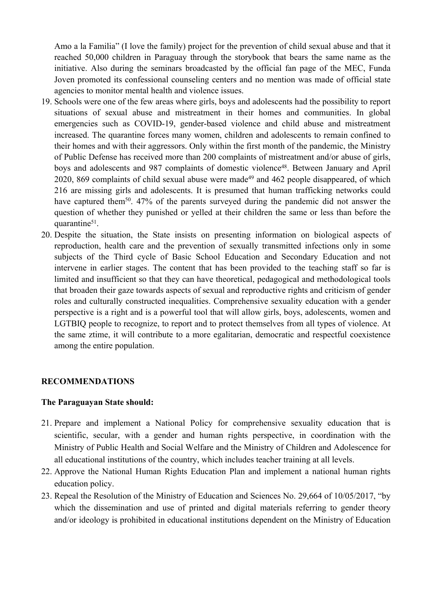Amo <sup>a</sup> la Familia" (I love the family) project for the prevention of child sexual abuse and that it reached 50,000 children in Paraguay through the storybook that bears the same name as the initiative. Also during the seminars broadcasted by the official fan page of the MEC, Funda Joven promoted its confessional counseling centers and no mention was made of official state agencies to monitor mental health and violence issues.

- 19. Schools were one of the few areas where girls, boys and adolescents had the possibility to repor<sup>t</sup> situations of sexual abuse and mistreatment in their homes and communities. In global emergencies such as COVID-19, gender-based violence and child abuse and mistreatment increased. The quarantine forces many women, children and adolescents to remain confined to their homes and with their aggressors. Only within the first month of the pandemic, the Ministry of Public Defense has received more than 200 complaints of mistreatment and/or abuse of girls, boys and adolescents and 987 complaints of domestic violence<sup>48</sup>. Between January and April 2020, 869 complaints of child sexual abuse were made<sup>49</sup> and 462 people disappeared, of which 216 are missing girls and adolescents. It is presumed that human trafficking networks could have captured them<sup>50</sup>. 47% of the parents surveyed during the pandemic did not answer the question of whether they punished or yelled at their children the same or less than before the quarantine<sup>51</sup>.
- 20. Despite the situation, the State insists on presenting information on biological aspects of reproduction, health care and the prevention of sexually transmitted infections only in some subjects of the Third cycle of Basic School Education and Secondary Education and not intervene in earlier stages. The content that has been provided to the teaching staff so far is limited and insufficient so that they can have theoretical, pedagogical and methodological tools that broaden their gaze towards aspects of sexual and reproductive rights and criticism of gender roles and culturally constructed inequalities. Comprehensive sexuality education with <sup>a</sup> gender perspective is <sup>a</sup> right and is <sup>a</sup> powerful tool that will allow girls, boys, adolescents, women and LGTBIQ people to recognize, to repor<sup>t</sup> and to protect themselves from all types of violence. At the same ztime, it will contribute to <sup>a</sup> more egalitarian, democratic and respectful coexistence among the entire population.

#### **RECOMMENDATIONS**

#### **The Paraguayan State should:**

- 21. Prepare and implement <sup>a</sup> National Policy for comprehensive sexuality education that is scientific, secular, with <sup>a</sup> gender and human rights perspective, in coordination with the Ministry of Public Health and Social Welfare and the Ministry of Children and Adolescence for all educational institutions of the country, which includes teacher training at all levels.
- 22. Approve the National Human Rights Education Plan and implement <sup>a</sup> national human rights education policy.
- 23. Repeal the Resolution of the Ministry of Education and Sciences No. 29,664 of 10/05/2017, "by which the dissemination and use of printed and digital materials referring to gender theory and/or ideology is prohibited in educational institutions dependent on the Ministry of Education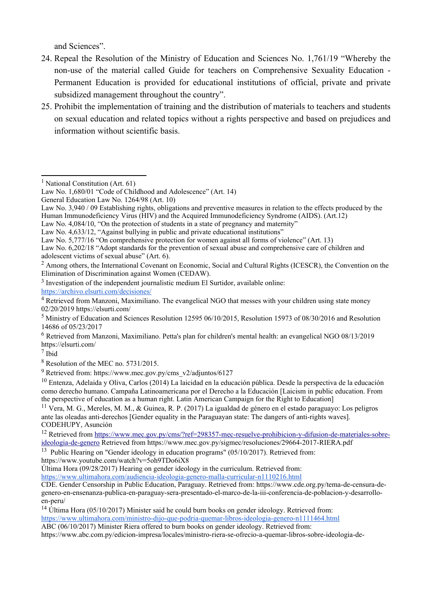and Sciences".

- 24. Repeal the Resolution of the Ministry of Education and Sciences No. 1,761/19 "Whereby the non-use of the material called Guide for teachers on Comprehensive Sexuality Education - Permanent Education is provided for educational institutions of official, private and private subsidized managemen<sup>t</sup> throughout the country".
- 25. Prohibit the implementation of training and the distribution of materials to teachers and students on sexual education and related topics without <sup>a</sup> rights perspective and based on prejudices and information without scientific basis.

Law No. 4,084/10, "On the protection of students in <sup>a</sup> state of pregnancy and maternity"

- Law No. 5,777/16 "On comprehensive protection for women against all forms of violence" (Art. 13)
- Law No. 6,202/18 "Adopt standards for the prevention of sexual abuse and comprehensive care of children and adolescent victims of sexual abuse" (Art. 6).

<sup>2</sup> Among others, the International Covenant on Economic, Social and Cultural Rights (ICESCR), the Convention on the Elimination of Discrimination against Women (CEDAW).

<sup>3</sup> Investigation of the independent journalistic medium El Surtidor, available online:

<https://archivo.elsurti.com/decisiones/>

<sup>4</sup> Retrieved from Manzoni, Maximiliano. The evangelical NGO that messes with your children using state money 02/20/2019 https://elsurti.com/

7 Ibid

<sup>10</sup> Entenza, Adelaida y Oliva, Carlos (2014) La laicidad en la educación pública. Desde la perspectiva de la educación como derecho humano. Campaña Latinoamericana por el Derecho <sup>a</sup> la Educación [Laicism in public education. From the perspective of education as <sup>a</sup> human right. Latin American Campaign for the Right to Education]

<sup>11</sup> Vera, M. G., Mereles, M. M., & Guinea, R. P. (2017) La igualdad de género en el estado paraguayo: Los peligros ante las oleadas anti-derechos [Gender equality in the Paraguayan state: The dangers of anti-rights waves]. CODEHUPY, Asunción

https://www.youtube.com/watch?v=5oh9TDo6iX8

Última Hora (09/28/2017) Hearing on gender ideology in the curriculum. Retrieved from: <https://www.ultimahora.com/audiencia-ideologia-genero-malla-curricular-n1110216.html>

CDE. Gender Censorship in Public Education, Paraguay. Retrieved from: https://www.cde.org.py/tema-de-censura-degenero-en-ensenanza-publica-en-paraguay-sera-presentado-el-marco-de-la-iii-conferencia-de-poblacion-y-desarrolloen-peru/

<sup>14</sup> Última Hora (05/10/2017) Minister said he could burn books on gender ideology. Retrieved from:

<https://www.ultimahora.com/ministro-dijo-que-podria-quemar-libros-ideologia-genero-n1111464.html>

ABC (06/10/2017) Minister Riera offered to burn books on gender ideology. Retrieved from:

https://www.abc.com.py/edicion-impresa/locales/ministro-riera-se-ofrecio-a-quemar-libros-sobre-ideologia-de-

<sup>&</sup>lt;sup>1</sup> National Constitution (Art. 61)

Law No. 1,680/01 "Code of Childhood and Adolescence" (Art. 14)

General Education Law No. 1264/98 (Art. 10)

Law No. 3.940 / 09 Establishing rights, obligations and preventive measures in relation to the effects produced by the Human Immunodeficiency Virus (HIV) and the Acquired Immunodeficiency Syndrome (AIDS). (Art.12)

Law No. 4,633/12, "Against bullying in public and private educational institutions"

<sup>5</sup> Ministry of Education and Sciences Resolution <sup>12595</sup> 06/10/2015, Resolution <sup>15973</sup> of 08/30/2016 and Resolution 14686 of 05/23/2017

<sup>6</sup> Retrieved from Manzoni, Maximiliano. Petta's plan for children's mental health: an evangelical NGO 08/13/2019 https://elsurti.com/

<sup>8</sup> Resolution of the MEC no. 5731/2015.

<sup>&</sup>lt;sup>9</sup> Retrieved from: https://www.mec.gov.py/cms\_v2/adjuntos/6127

<sup>&</sup>lt;sup>12</sup> Retrieved from [https://www.mec.gov.py/cms/?ref=298357-mec-resuelve-prohibicion-y-difusion-de-materiales-sobre](https://www.mec.gov.py/cms/?ref=298357-mec-resuelve-prohibicion-y-difusion-de-materiales-sobre-ideologia-de-genero)[ideologia-de-genero](https://www.mec.gov.py/cms/?ref=298357-mec-resuelve-prohibicion-y-difusion-de-materiales-sobre-ideologia-de-genero) Retrieved from https://www.mec.gov.py/sigmec/resoluciones/29664-2017-RIERA.pdf

<sup>&</sup>lt;sup>13</sup> Public Hearing on "Gender ideology in education programs" (05/10/2017). Retrieved from: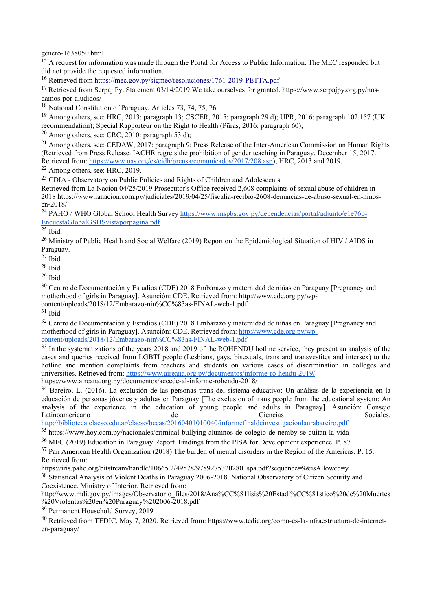genero-1638050.html

<sup>15</sup> A request for information was made through the Portal for Access to Public Information. The MEC responded but did not provide the requested information.

<sup>16</sup> Retrieved from <https://mec.gov.py/sigmec/resoluciones/1761-2019-PETTA.pdf>

<sup>17</sup> Retrieved from Serpaj Py. Statement 03/14/2019 We take ourselves for granted. https://www.serpajpy.org.py/nosdamos-por-aludidos/

<sup>18</sup> National Constitution of Paraguay, Articles 73, 74, 75, 76.

<sup>19</sup> Among others, see: HRC, 2013: paragraph 13; CSCER, 2015: paragraph 29 d); UPR, 2016: paragraph 102.157 (UK recommendation); Special Rapporteur on the Right to Health (P<sup>ū</sup>ras, 2016: paragraph 60);

 $^{20}$  Among others, see: CRC, 2010: paragraph 53 d);

<sup>21</sup> Among others, see: CEDAW, 2017: paragraph 9; Press Release of the Inter-American Commission on Human Rights (Retrieved from Press Release. IACHR regrets the prohibition of gender teaching in Paraguay. December 15, 2017. Retrieved from: <https://www.oas.org/es/cidh/prensa/comunicados/2017/208.asp>); HRC, 2013 and 2019.

 $22$  Among others, see: HRC, 2019.

<sup>23</sup> CDIA - Observatory on Public Policies and Rights of Children and Adolescents

Retrieved from La Nación 04/25/2019 Prosecutor's Office received 2,608 complaints of sexual abuse of children in 2018 https://www.lanacion.com.py/judiciales/2019/04/25/fiscalia-recibio-2608-denuncias-de-abuso-sexual-en-ninosen-2018 $\overline{\lambda}$ 

<sup>24</sup> PAHO / WHO Global School Health Survey [https://www.mspbs.gov.py/dependencias/portal/adjunto/e1e76b-](https://www.mspbs.gov.py/dependencias/portal/adjunto/e1e76b-EncuestaGlobalGSHSvistaporpagina.pdf)[EncuestaGlobalGSHSvistaporpagina.pdf](https://www.mspbs.gov.py/dependencias/portal/adjunto/e1e76b-EncuestaGlobalGSHSvistaporpagina.pdf)

 $^{25}$  Ibid.

<sup>26</sup> Ministry of Public Health and Social Welfare (2019) Report on the Epidemiological Situation of HIV / AIDS in Paraguay.

 $^{27}$  Ibid.

28 Ibid

 $^{29}$  Ibid.

<sup>30</sup> Centro de Documentación y Estudios (CDE) 2018 Embarazo y maternidad de niñas en Paraguay [Pregnancy and motherhood of girls in Paraguay]. Asunción: CDE. Retrieved from: http://www.cde.org.py/wpcontent/uploads/2018/12/Embarazo-nin%CC%83as-FINAL-web-1.pdf

<sup>31</sup> Ibid

<sup>32</sup> Centro de Documentación y Estudios (CDE) 2018 Embarazo y maternidad de niñas en Paraguay [Pregnancy and motherhood of girls in Paraguay]. Asunción: CDE. Retrieved from: [http://www.cde.org.py/wp](http://www.cde.org.py/wp-content/uploads/2018/12/Embarazo-nin%CC%83as-FINAL-web-1.pdf)[content/uploads/2018/12/Embarazo-nin%CC%83as-FINAL-web-1.pdf](http://www.cde.org.py/wp-content/uploads/2018/12/Embarazo-nin%CC%83as-FINAL-web-1.pdf)

<sup>33</sup> In the systematizations of the years 2018 and 2019 of the ROHENDU hotline service, they present an analysis of the cases and queries received from LGBTI people (Lesbians, gays, bisexuals, trans and transvestites and intersex) to the hotline and mention complaints from teachers and students on various cases of discrimination in colleges and universities. Retrieved from: <https://www.aireana.org.py/documentos/informe-ro-hendu-2019/> https://www.aireana.org.py/documentos/accede-al-informe-rohendu-2018/

<sup>34</sup> Bareiro, L. (2016). La exclusión de las personas trans del sistema educativo: Un análisis de la experiencia en la educación de personas jóvenes y adultas en Paraguay [The exclusion of trans people from the educational system: An analysis of the experience in the education of young people and adults in Paraguay]. Asunción: Consejo Latinoamericano de Ciencias Sociales. <http://biblioteca.clacso.edu.ar/clacso/becas/20160401010040/informefinaldeinvestigacionlaurabareiro.pdf>

<sup>35</sup> https://www.hoy.com.py/nacionales/criminal-bullying-alumnos-de-colegio-de-nemby-se-quitan-la-vida

<sup>36</sup> MEC (2019) Education in Paraguay Report. Findings from the PISA for Development experience. P. <sup>87</sup>

 $37$  Pan American Health Organization (2018) The burden of mental disorders in the Region of the Americas. P. 15. Retrieved from:

https://iris.paho.org/bitstream/handle/10665.2/49578/9789275320280\_spa.pdf?sequence=9&isAllowed=y

<sup>38</sup> Statistical Analysis of Violent Deaths in Paraguay 2006-2018. National Observatory of Citizen Security and Coexistence. Ministry of Interior. Retrieved from:

http://www.mdi.gov.py/images/Observatorio\_files/2018/Ana%CC%81lisis%20Estadi%CC%81stico%20de%20Muertes %20Violentas%20en%20Paraguay%202006-2018.pdf

<sup>39</sup> Permanent Household Survey, 2019

<sup>40</sup> Retrieved from TEDIC, May 7, 2020. Retrieved from: https://www.tedic.org/como-es-la-infraestructura-de-interneten-paraguay/